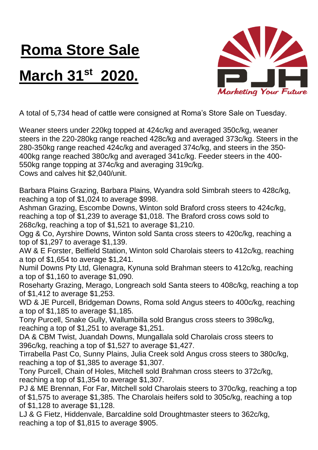## **Roma Store Sale**

## **March 31st 2020.**



A total of 5,734 head of cattle were consigned at Roma's Store Sale on Tuesday.

Weaner steers under 220kg topped at 424c/kg and averaged 350c/kg, weaner steers in the 220-280kg range reached 428c/kg and averaged 373c/kg. Steers in the 280-350kg range reached 424c/kg and averaged 374c/kg, and steers in the 350- 400kg range reached 380c/kg and averaged 341c/kg. Feeder steers in the 400- 550kg range topping at 374c/kg and averaging 319c/kg. Cows and calves hit \$2,040/unit.

Barbara Plains Grazing, Barbara Plains, Wyandra sold Simbrah steers to 428c/kg, reaching a top of \$1,024 to average \$998.

Ashman Grazing, Escombe Downs, Winton sold Braford cross steers to 424c/kg, reaching a top of \$1,239 to average \$1,018. The Braford cross cows sold to 268c/kg, reaching a top of \$1,521 to average \$1,210.

Ogg & Co, Ayrshire Downs, Winton sold Santa cross steers to 420c/kg, reaching a top of \$1,297 to average \$1,139.

AW & E Forster, Belfield Station, Winton sold Charolais steers to 412c/kg, reaching a top of \$1,654 to average \$1,241.

Numil Downs Pty Ltd, Glenagra, Kynuna sold Brahman steers to 412c/kg, reaching a top of \$1,160 to average \$1,090.

Roseharty Grazing, Merago, Longreach sold Santa steers to 408c/kg, reaching a top of \$1,412 to average \$1,253.

WD & JE Purcell, Bridgeman Downs, Roma sold Angus steers to 400c/kg, reaching a top of \$1,185 to average \$1,185.

Tony Purcell, Snake Gully, Wallumbilla sold Brangus cross steers to 398c/kg, reaching a top of \$1,251 to average \$1,251.

DA & CBM Twist, Juandah Downs, Mungallala sold Charolais cross steers to 396c/kg, reaching a top of \$1,527 to average \$1,427.

Tirrabella Past Co, Sunny Plains, Julia Creek sold Angus cross steers to 380c/kg, reaching a top of \$1,385 to average \$1,307.

Tony Purcell, Chain of Holes, Mitchell sold Brahman cross steers to 372c/kg, reaching a top of \$1,354 to average \$1,307.

PJ & ME Brennan, For Far, Mitchell sold Charolais steers to 370c/kg, reaching a top of \$1,575 to average \$1,385. The Charolais heifers sold to 305c/kg, reaching a top of \$1,128 to average \$1,128.

LJ & G Fietz, Hiddenvale, Barcaldine sold Droughtmaster steers to 362c/kg, reaching a top of \$1,815 to average \$905.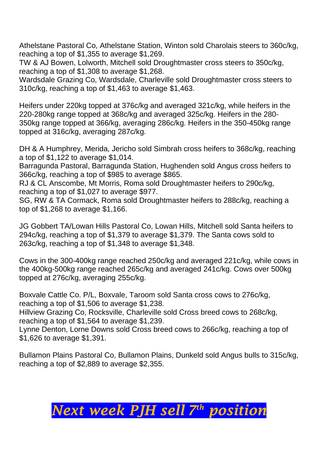Athelstane Pastoral Co, Athelstane Station, Winton sold Charolais steers to 360c/kg, reaching a top of \$1,355 to average \$1,269.

TW & AJ Bowen, Lolworth, Mitchell sold Droughtmaster cross steers to 350c/kg, reaching a top of \$1,308 to average \$1,268.

Wardsdale Grazing Co, Wardsdale, Charleville sold Droughtmaster cross steers to 310c/kg, reaching a top of \$1,463 to average \$1,463.

Heifers under 220kg topped at 376c/kg and averaged 321c/kg, while heifers in the 220-280kg range topped at 368c/kg and averaged 325c/kg. Heifers in the 280- 350kg range topped at 366/kg, averaging 286c/kg. Heifers in the 350-450kg range topped at 316c/kg, averaging 287c/kg.

DH & A Humphrey, Merida, Jericho sold Simbrah cross heifers to 368c/kg, reaching a top of \$1,122 to average \$1,014.

Barragunda Pastoral, Barragunda Station, Hughenden sold Angus cross heifers to 366c/kg, reaching a top of \$985 to average \$865.

RJ & CL Anscombe, Mt Morris, Roma sold Droughtmaster heifers to 290c/kg, reaching a top of \$1,027 to average \$977.

SG, RW & TA Cormack, Roma sold Droughtmaster heifers to 288c/kg, reaching a top of \$1,268 to average \$1,166.

JG Gobbert TA/Lowan Hills Pastoral Co, Lowan Hills, Mitchell sold Santa heifers to 294c/kg, reaching a top of \$1,379 to average \$1,379. The Santa cows sold to 263c/kg, reaching a top of \$1,348 to average \$1,348.

Cows in the 300-400kg range reached 250c/kg and averaged 221c/kg, while cows in the 400kg-500kg range reached 265c/kg and averaged 241c/kg. Cows over 500kg topped at 276c/kg, averaging 255c/kg.

Boxvale Cattle Co. P/L, Boxvale, Taroom sold Santa cross cows to 276c/kg, reaching a top of \$1,506 to average \$1,238.

Hillview Grazing Co, Rocksville, Charleville sold Cross breed cows to 268c/kg, reaching a top of \$1,564 to average \$1,239.

Lynne Denton, Lorne Downs sold Cross breed cows to 266c/kg, reaching a top of \$1,626 to average \$1,391.

Bullamon Plains Pastoral Co, Bullamon Plains, Dunkeld sold Angus bulls to 315c/kg, reaching a top of \$2,889 to average \$2,355.